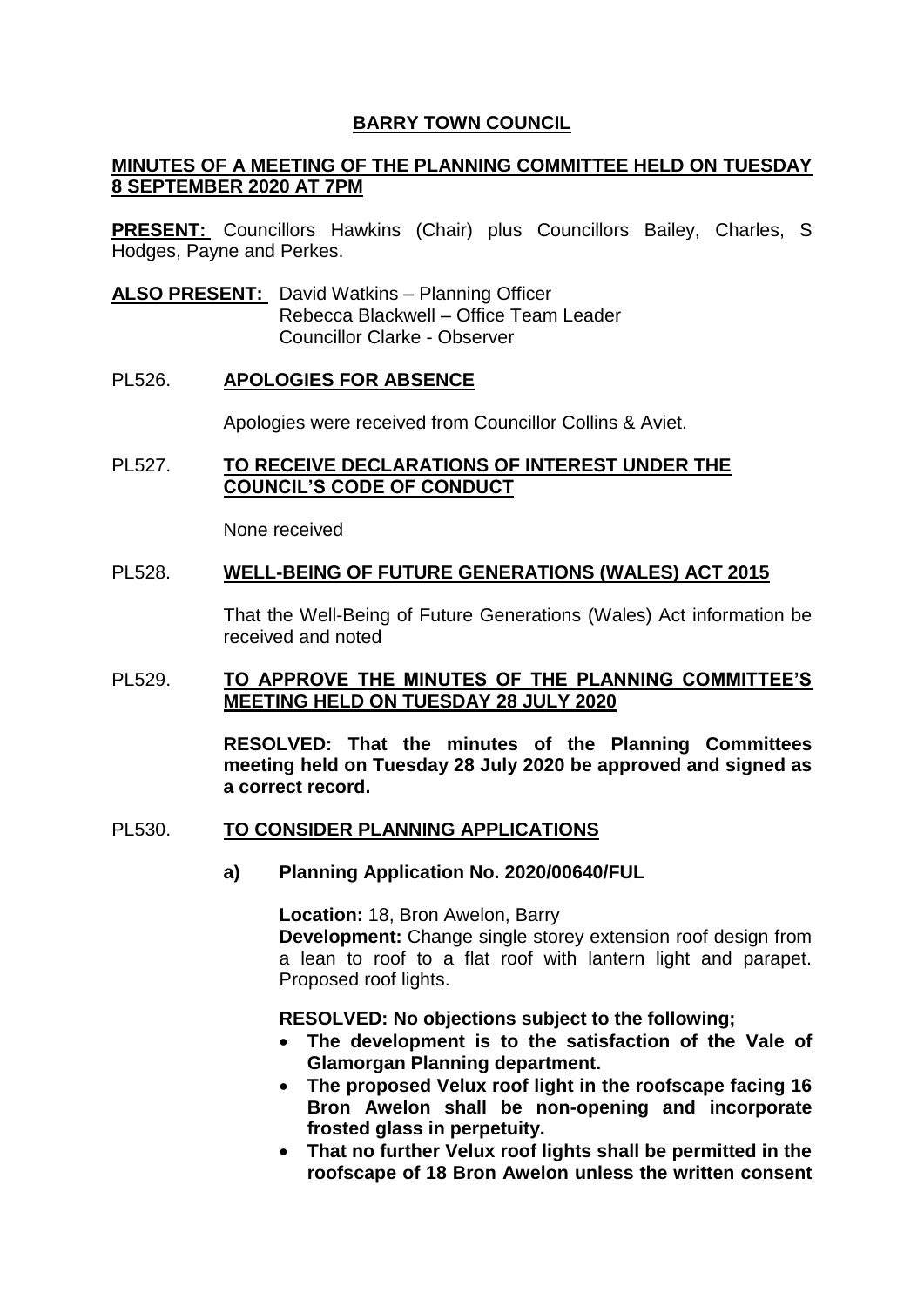## **BARRY TOWN COUNCIL**

## **MINUTES OF A MEETING OF THE PLANNING COMMITTEE HELD ON TUESDAY 8 SEPTEMBER 2020 AT 7PM**

**PRESENT:** Councillors Hawkins (Chair) plus Councillors Bailey, Charles, S Hodges, Payne and Perkes.

**ALSO PRESENT:** David Watkins – Planning Officer Rebecca Blackwell – Office Team Leader Councillor Clarke - Observer

### PL526. **APOLOGIES FOR ABSENCE**

Apologies were received from Councillor Collins & Aviet.

### PL527. **TO RECEIVE DECLARATIONS OF INTEREST UNDER THE COUNCIL'S CODE OF CONDUCT**

None received

#### PL528. **WELL-BEING OF FUTURE GENERATIONS (WALES) ACT 2015**

That the Well-Being of Future Generations (Wales) Act information be received and noted

### PL529. **TO APPROVE THE MINUTES OF THE PLANNING COMMITTEE'S MEETING HELD ON TUESDAY 28 JULY 2020**

**RESOLVED: That the minutes of the Planning Committees meeting held on Tuesday 28 July 2020 be approved and signed as a correct record.** 

#### PL530. **TO CONSIDER PLANNING APPLICATIONS**

**a) Planning Application No. 2020/00640/FUL**

**Location:** 18, Bron Awelon, Barry

**Development:** Change single storey extension roof design from a lean to roof to a flat roof with lantern light and parapet. Proposed roof lights.

#### **RESOLVED: No objections subject to the following;**

- **The development is to the satisfaction of the Vale of Glamorgan Planning department.**
- **The proposed Velux roof light in the roofscape facing 16 Bron Awelon shall be non-opening and incorporate frosted glass in perpetuity.**
- **That no further Velux roof lights shall be permitted in the roofscape of 18 Bron Awelon unless the written consent**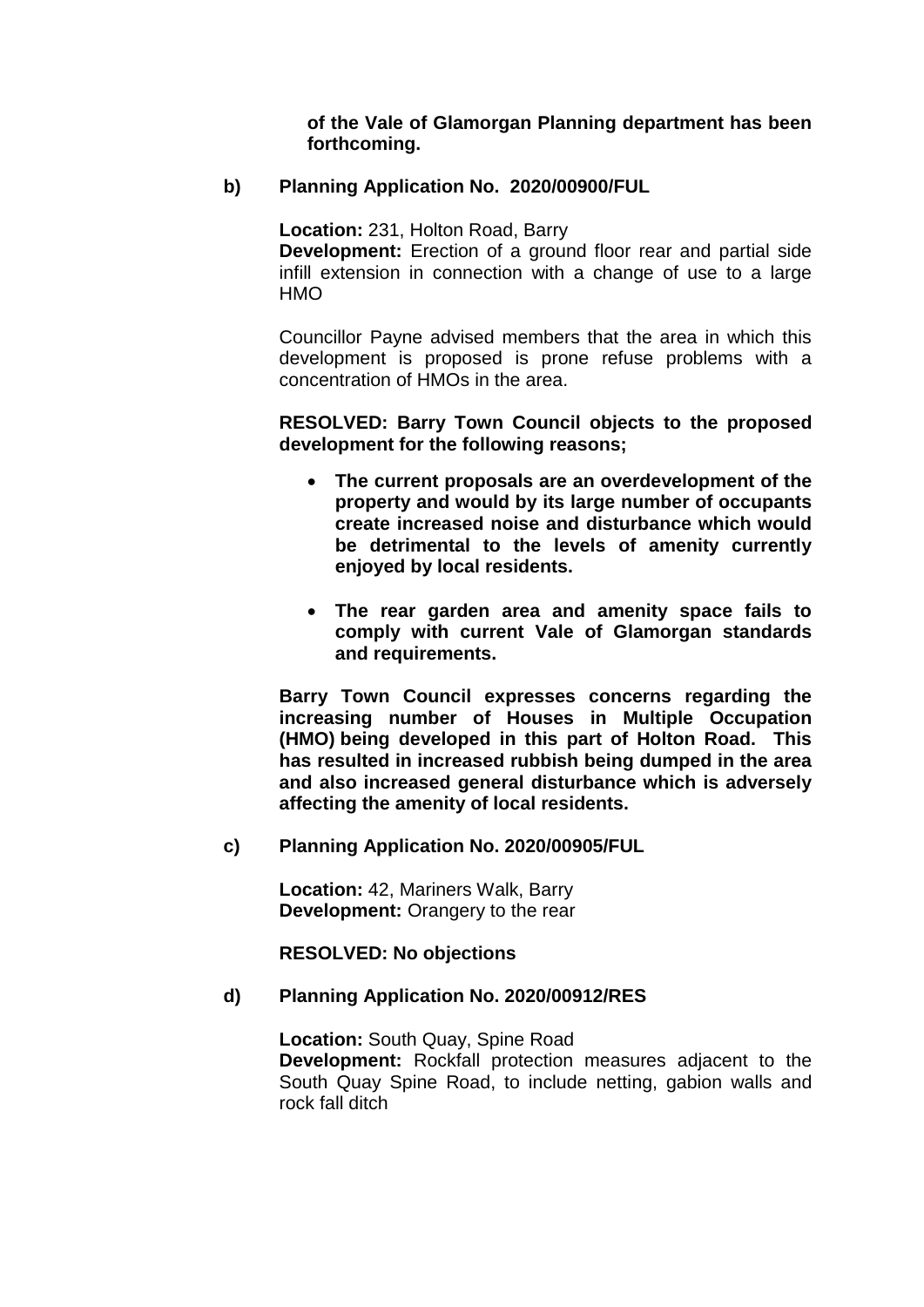**of the Vale of Glamorgan Planning department has been forthcoming.**

## **b) Planning Application No. 2020/00900/FUL**

**Location:** 231, Holton Road, Barry

**Development:** Erection of a ground floor rear and partial side infill extension in connection with a change of use to a large **HMO** 

Councillor Payne advised members that the area in which this development is proposed is prone refuse problems with a concentration of HMOs in the area.

## **RESOLVED: Barry Town Council objects to the proposed development for the following reasons;**

- **The current proposals are an overdevelopment of the property and would by its large number of occupants create increased noise and disturbance which would be detrimental to the levels of amenity currently enjoyed by local residents.**
- **The rear garden area and amenity space fails to comply with current Vale of Glamorgan standards and requirements.**

**Barry Town Council expresses concerns regarding the increasing number of Houses in Multiple Occupation (HMO) being developed in this part of Holton Road. This has resulted in increased rubbish being dumped in the area and also increased general disturbance which is adversely affecting the amenity of local residents.**

#### **c) Planning Application No. 2020/00905/FUL**

**Location:** 42, Mariners Walk, Barry **Development:** Orangery to the rear

**RESOLVED: No objections**

## **d) Planning Application No. 2020/00912/RES**

**Location:** South Quay, Spine Road **Development:** Rockfall protection measures adjacent to the South Quay Spine Road, to include netting, gabion walls and rock fall ditch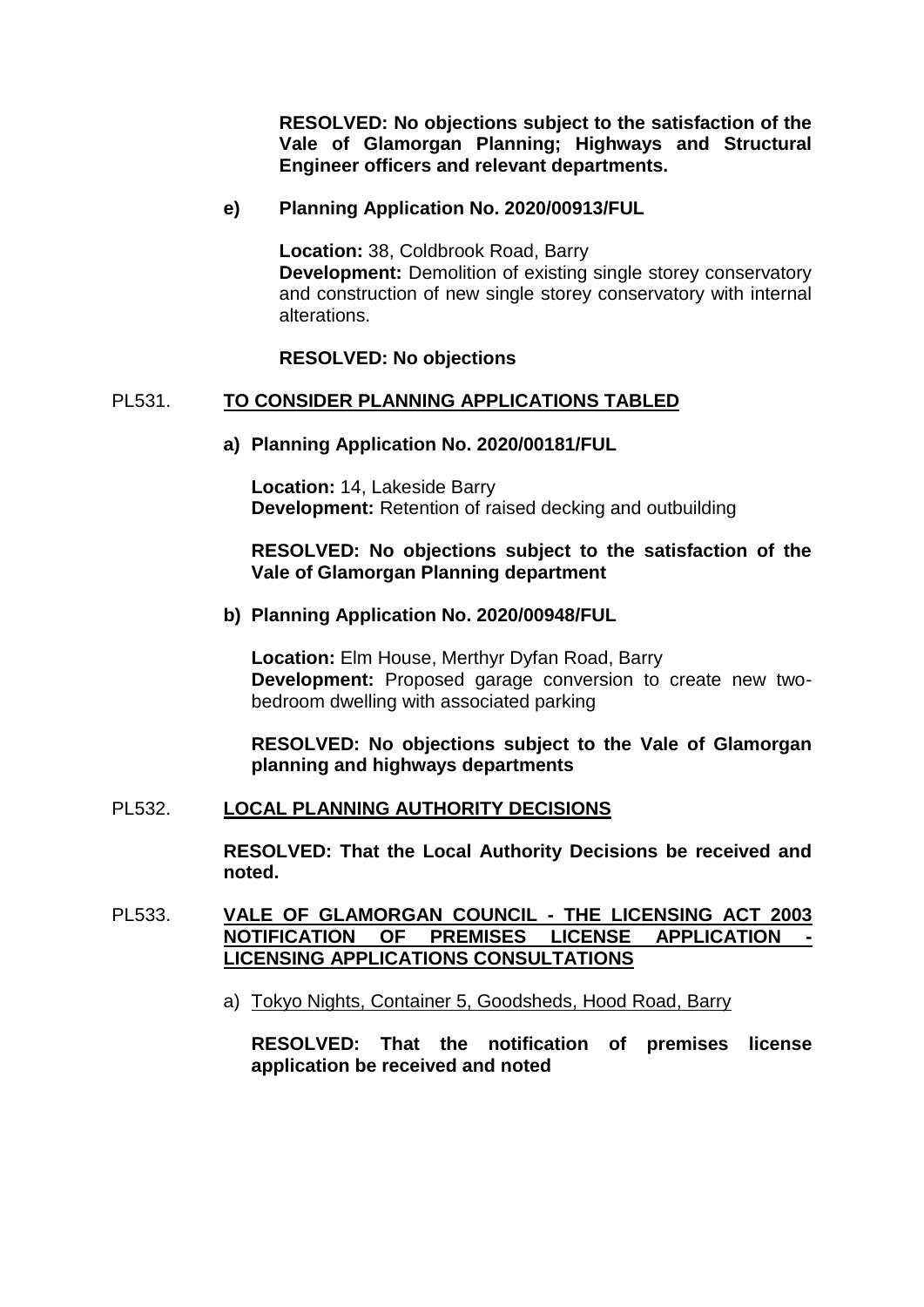**RESOLVED: No objections subject to the satisfaction of the Vale of Glamorgan Planning; Highways and Structural Engineer officers and relevant departments.** 

### **e) Planning Application No. 2020/00913/FUL**

**Location:** 38, Coldbrook Road, Barry **Development:** Demolition of existing single storey conservatory and construction of new single storey conservatory with internal alterations.

### **RESOLVED: No objections**

### PL531. **TO CONSIDER PLANNING APPLICATIONS TABLED**

#### **a) Planning Application No. 2020/00181/FUL**

**Location:** 14, Lakeside Barry **Development:** Retention of raised decking and outbuilding

## **RESOLVED: No objections subject to the satisfaction of the Vale of Glamorgan Planning department**

#### **b) Planning Application No. 2020/00948/FUL**

**Location:** Elm House, Merthyr Dyfan Road, Barry **Development:** Proposed garage conversion to create new twobedroom dwelling with associated parking

**RESOLVED: No objections subject to the Vale of Glamorgan planning and highways departments** 

## PL532. **LOCAL PLANNING AUTHORITY DECISIONS**

**RESOLVED: That the Local Authority Decisions be received and noted.** 

## PL533. **VALE OF GLAMORGAN COUNCIL - THE LICENSING ACT 2003 NOTIFICATION OF PREMISES LICENSE APPLICATION LICENSING APPLICATIONS CONSULTATIONS**

a) Tokyo Nights, Container 5, Goodsheds, Hood Road, Barry

**RESOLVED: That the notification of premises license application be received and noted**